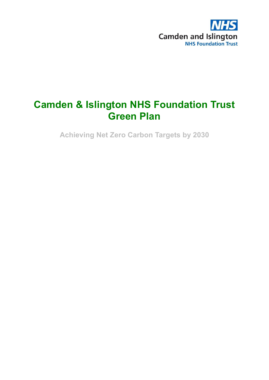

# **Camden & Islington NHS Foundation Trust Green Plan**

**Achieving Net Zero Carbon Targets by 2030**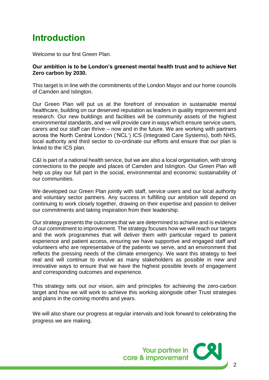## <span id="page-1-0"></span>**Introduction**

Welcome to our first Green Plan.

#### **Our ambition is to be London's greenest mental health trust and to achieve Net Zero carbon by 2030.**

This target is in line with the commitments of the London Mayor and our home councils of Camden and Islington.

Our Green Plan will put us at the forefront of innovation in sustainable mental healthcare, building on our deserved reputation as leaders in quality improvement and research. Our new buildings and facilities will be community assets of the highest environmental standards, and we will provide care in ways which ensure service users, carers and our staff can thrive – now and in the future. We are working with partners across the North Central London ('NCL') ICS (Integrated Care Systems), both NHS, local authority and third sector to co-ordinate our efforts and ensure that our plan is linked to the ICS plan.

C&I is part of a national health service, but we are also a local organisation, with strong connections to the people and places of Camden and Islington. Our Green Plan will help us play our full part in the social, environmental and economic sustainability of our communities.

We developed our Green Plan jointly with staff, service users and our local authority and voluntary sector partners. Any success in fulfilling our ambition will depend on continuing to work closely together, drawing on their expertise and passion to deliver our commitments and taking inspiration from their leadership.

Our strategy presents the outcomes that we are determined to achieve and is evidence of our commitment to improvement. The strategy focuses how we will reach our targets and the work programmes that will deliver them with particular regard to patient experience and patient access, ensuring we have supportive and engaged staff and volunteers who are representative of the patients we serve, and an environment that reflects the pressing needs of the climate emergency. We want this strategy to feel real and will continue to involve as many stakeholders as possible in new and innovative ways to ensure that we have the highest possible levels of engagement and corresponding outcomes and experience.

This strategy sets out our vision, aim and principles for achieving the zero-carbon target and how we will work to achieve this working alongside other Trust strategies and plans in the coming months and years.

We will also share our progress at regular intervals and look forward to celebrating the progress we are making.

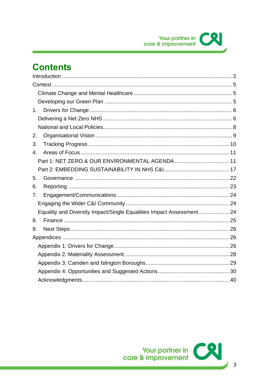# **Contents**

| 1 <sub>1</sub>                                                       |  |
|----------------------------------------------------------------------|--|
|                                                                      |  |
|                                                                      |  |
| 2.                                                                   |  |
| 3.                                                                   |  |
| 4.                                                                   |  |
|                                                                      |  |
|                                                                      |  |
| 5.                                                                   |  |
| 6.                                                                   |  |
| 7.                                                                   |  |
|                                                                      |  |
| Equality and Diversity Impact/Single Equalities Impact Assessment 24 |  |
| 8.                                                                   |  |
| 9.                                                                   |  |
|                                                                      |  |
|                                                                      |  |
|                                                                      |  |
|                                                                      |  |
|                                                                      |  |
|                                                                      |  |

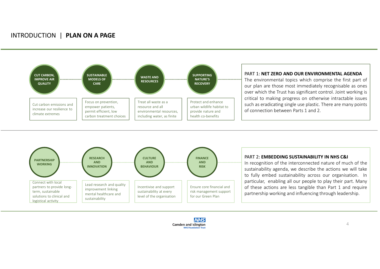#### INTRODUCTION | **PLAN ON A PAGE**





#### PART 2: **EMBEDDING SUSTAINABILITY IN NHS C&I**

In recognition of the interconnected nature of much of the sustainability agenda, we describe the actions we will take to fully embed sustainability across our organisation. In particular, enabling all our people to play their part. Many of these actions are less tangible than Part 1 and require partnership working and influencing through leadership.

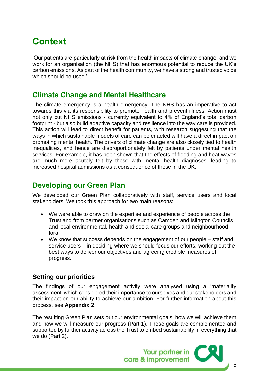# <span id="page-4-0"></span>**Context**

'Our patients are particularly at risk from the health impacts of climate change, and we work for an organisation (the NHS) that has enormous potential to reduce the UK's carbon emissions. As part of the health community, we have a strong and trusted voice which should be used.'<sup>i</sup>

## <span id="page-4-1"></span>**Climate Change and Mental Healthcare**

The climate emergency is a health emergency. The NHS has an imperative to act towards this via its responsibility to promote health and prevent illness. Action must not only cut NHS emissions - currently equivalent to 4% of England's total carbon footprint - but also build adaptive capacity and resilience into the way care is provided. This action will lead to direct benefit for patients, with research suggesting that the ways in which sustainable models of care can be enacted will have a direct impact on promoting mental health. The drivers of climate change are also closely tied to health inequalities, and hence are disproportionately felt by patients under mental health services. For example, it has been shown that the effects of flooding and heat waves are much more acutely felt by those with mental health diagnoses, leading to increased hospital admissions as a consequence of these in the UK.

## <span id="page-4-2"></span>**Developing our Green Plan**

We developed our Green Plan collaboratively with staff, service users and local stakeholders. We took this approach for two main reasons:

- We were able to draw on the expertise and experience of people across the Trust and from partner organisations such as Camden and Islington Councils and local environmental, health and social care groups and neighbourhood fora.
- We know that success depends on the engagement of our people staff and service users – in deciding where we should focus our efforts, working out the best ways to deliver our objectives and agreeing credible measures of progress.

#### **Setting our priorities**

The findings of our engagement activity were analysed using a 'materiality assessment' which considered their importance to ourselves and our stakeholders and their impact on our ability to achieve our ambition. For further information about this process, see **Appendix 2**.

The resulting Green Plan sets out our environmental goals, how we will achieve them and how we will measure our progress (Part 1). These goals are complemented and supported by further activity across the Trust to embed sustainability in everything that we do (Part 2).

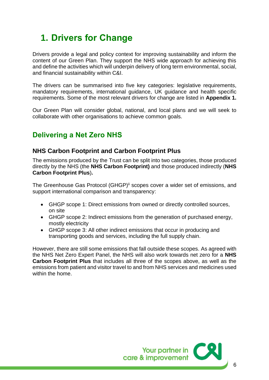# <span id="page-5-0"></span>**1. Drivers for Change**

Drivers provide a legal and policy context for improving sustainability and inform the content of our Green Plan. They support the NHS wide approach for achieving this and define the activities which will underpin delivery of long term environmental, social, and financial sustainability within C&I.

The drivers can be summarised into five key categories: legislative requirements, mandatory requirements, international guidance, UK guidance and health specific requirements. Some of the most relevant drivers for change are listed in **Appendix 1.**

Our Green Plan will consider global, national, and local plans and we will seek to collaborate with other organisations to achieve common goals.

## <span id="page-5-1"></span>**Delivering a Net Zero NHS**

#### **NHS Carbon Footprint and Carbon Footprint Plus**

The emissions produced by the Trust can be split into two categories, those produced directly by the NHS (the **NHS Carbon Footprint)** and those produced indirectly (**NHS Carbon Footprint Plus**)**.**

The Greenhouse Gas Protocol (GHGP)<sup>ii</sup> scopes cover a wider set of emissions, and support international comparison and transparency:

- GHGP scope 1: Direct emissions from owned or directly controlled sources, on site
- GHGP scope 2: Indirect emissions from the generation of purchased energy, mostly electricity
- GHGP scope 3: All other indirect emissions that occur in producing and transporting goods and services, including the full supply chain.

However, there are still some emissions that fall outside these scopes. As agreed with the NHS Net Zero Expert Panel, the NHS will also work towards net zero for a **NHS Carbon Footprint Plus** that includes all three of the scopes above, as well as the emissions from patient and visitor travel to and from NHS services and medicines used within the home.

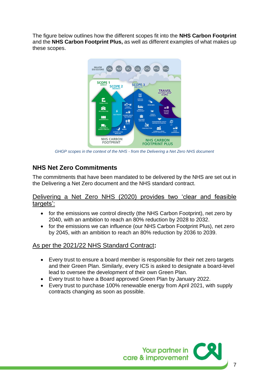The figure below outlines how the different scopes fit into the **NHS Carbon Footprint**  and the **NHS Carbon Footprint Plus,** as well as different examples of what makes up these scopes.



*GHGP scopes in the context of the NHS - from the Delivering a Net Zero NHS document*

#### **NHS Net Zero Commitments**

The commitments that have been mandated to be delivered by the NHS are set out in the Delivering a Net Zero document and the NHS standard contract.

Delivering a Net Zero NHS (2020) provides two 'clear and feasible targets':

- for the emissions we control directly (the NHS Carbon Footprint), net zero by 2040, with an ambition to reach an 80% reduction by 2028 to 2032.
- for the emissions we can influence (our NHS Carbon Footprint Plus), net zero by 2045, with an ambition to reach an 80% reduction by 2036 to 2039.

#### As per the 2021/22 NHS Standard Contract**:**

- Every trust to ensure a board member is responsible for their net zero targets and their Green Plan. Similarly, every ICS is asked to designate a board-level lead to oversee the development of their own Green Plan.
- Every trust to have a Board approved Green Plan by January 2022.
- Every trust to purchase 100% renewable energy from April 2021, with supply contracts changing as soon as possible.

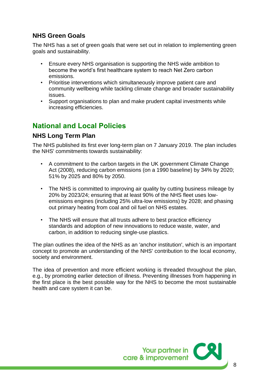### **NHS Green Goals**

The NHS has a set of green goals that were set out in relation to implementing green goals and sustainability.

- Ensure every NHS organisation is supporting the NHS wide ambition to become the world's first healthcare system to reach Net Zero carbon emissions.
- Prioritise interventions which simultaneously improve patient care and community wellbeing while tackling climate change and broader sustainability issues.
- Support organisations to plan and make prudent capital investments while increasing efficiencies.

## <span id="page-7-0"></span>**National and Local Policies**

#### **NHS Long Term Plan**

The NHS published its first ever long-term plan on 7 January 2019. The plan includes the NHS' commitments towards sustainability:

- A commitment to the carbon targets in the UK government Climate Change Act (2008), reducing carbon emissions (on a 1990 baseline) by 34% by 2020; 51% by 2025 and 80% by 2050.
- The NHS is committed to improving air quality by cutting business mileage by 20% by 2023/24; ensuring that at least 90% of the NHS fleet uses lowemissions engines (including 25% ultra-low emissions) by 2028; and phasing out primary heating from coal and oil fuel on NHS estates.
- The NHS will ensure that all trusts adhere to best practice efficiency standards and adoption of new innovations to reduce waste, water, and carbon, in addition to reducing single-use plastics.

The plan outlines the idea of the NHS as an 'anchor institution', which is an important concept to promote an understanding of the NHS' contribution to the local economy, society and environment.

The idea of prevention and more efficient working is threaded throughout the plan, e.g., by promoting earlier detection of illness. Preventing illnesses from happening in the first place is the best possible way for the NHS to become the most sustainable health and care system it can be.

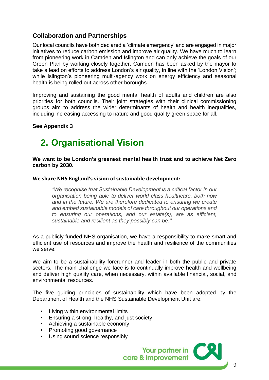## **Collaboration and Partnerships**

Our local councils have both declared a 'climate emergency' and are engaged in major initiatives to reduce carbon emission and improve air quality. We have much to learn from pioneering work in Camden and Islington and can only achieve the goals of our Green Plan by working closely together. Camden has been asked by the mayor to take a lead on efforts to address London's air quality, in line with the 'London Vision'; while Islington's pioneering multi-agency work on energy efficiency and seasonal health is being rolled out across other boroughs.

Improving and sustaining the good mental health of adults and children are also priorities for both councils. Their joint strategies with their clinical commissioning groups aim to address the wider determinants of health and health inequalities, including increasing accessing to nature and good quality green space for all.

#### **See Appendix 3**

## <span id="page-8-0"></span>**2. Organisational Vision**

**We want to be London's greenest mental health trust and to achieve Net Zero carbon by 2030.**

**We share NHS England's vision of sustainable development:**

*"We recognise that Sustainable Development is a critical factor in our organisation being able to deliver world class healthcare, both now and in the future. We are therefore dedicated to ensuring we create and embed sustainable models of care throughout our operations and to ensuring our operations, and our estate(s), are as efficient, sustainable and resilient as they possibly can be."*

As a publicly funded NHS organisation, we have a responsibility to make smart and efficient use of resources and improve the health and resilience of the communities we serve.

We aim to be a sustainability forerunner and leader in both the public and private sectors. The main challenge we face is to continually improve health and wellbeing and deliver high quality care, when necessary, within available financial, social, and environmental resources.

The five guiding principles of sustainability which have been adopted by the Department of Health and the NHS Sustainable Development Unit are:

- Living within environmental limits
- Ensuring a strong, healthy, and just society
- Achieving a sustainable economy
- Promoting good governance
- Using sound science responsibly

Your partner in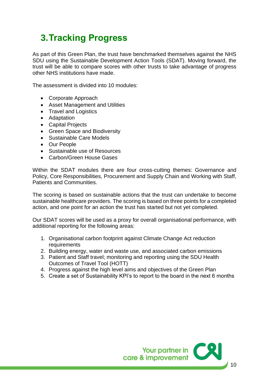# <span id="page-9-0"></span>**3.Tracking Progress**

As part of this Green Plan, the trust have benchmarked themselves against the NHS SDU using the Sustainable Development Action Tools (SDAT). Moving forward, the trust will be able to compare scores with other trusts to take advantage of progress other NHS institutions have made.

The assessment is divided into 10 modules:

- Corporate Approach
- Asset Management and Utilities
- Travel and Logistics
- Adaptation
- Capital Projects
- Green Space and Biodiversity
- Sustainable Care Models
- Our People
- Sustainable use of Resources
- Carbon/Green House Gases

Within the SDAT modules there are four cross-cutting themes: Governance and Policy, Core Responsibilities, Procurement and Supply Chain and Working with Staff, Patients and Communities.

The scoring is based on sustainable actions that the trust can undertake to become sustainable healthcare providers. The scoring is based on three points for a completed action, and one point for an action the trust has started but not yet completed.

Our SDAT scores will be used as a proxy for overall organisational performance, with additional reporting for the following areas:

- 1. Organisational carbon footprint against Climate Change Act reduction requirements
- 2. Building energy, water and waste use, and associated carbon emissions
- 3. Patient and Staff travel; monitoring and reporting using the SDU Health Outcomes of Travel Tool (HOTT)
- 4. Progress against the high level aims and objectives of the Green Plan
- 5. Create a set of Sustainability KPI's to report to the board in the next 6 months

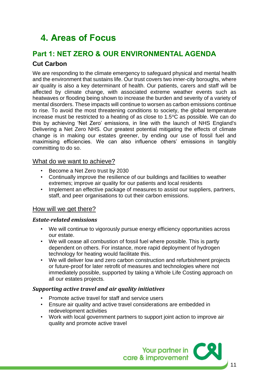# <span id="page-10-0"></span>**4. Areas of Focus**

## <span id="page-10-1"></span>**Part 1: NET ZERO & OUR ENVIRONMENTAL AGENDA Cut Carbon**

We are responding to the climate emergency to safeguard physical and mental health and the environment that sustains life. Our trust covers two inner-city boroughs, where air quality is also a key determinant of health. Our patients, carers and staff will be affected by climate change, with associated extreme weather events such as heatwaves or flooding being shown to increase the burden and severity of a variety of mental disorders. These impacts will continue to worsen as carbon emissions continue to rise. To avoid the most threatening conditions to society, the global temperature increase must be restricted to a heating of as close to  $1.5\degree$ C as possible. We can do this by achieving 'Net Zero' emissions, in line with the launch of NHS England's Delivering a Net Zero NHS. Our greatest potential mitigating the effects of climate change is in making our estates greener, by ending our use of fossil fuel and maximising efficiencies. We can also influence others' emissions in tangibly committing to do so.

#### What do we want to achieve?

- Become a Net Zero trust by 2030
- Continually improve the resilience of our buildings and facilities to weather extremes; improve air quality for our patients and local residents
- Implement an effective package of measures to assist our suppliers, partners, staff, and peer organisations to cut their carbon emissions.

#### How will we get there?

#### *Estate-related emissions*

- We will continue to vigorously pursue energy efficiency opportunities across our estate.
- We will cease all combustion of fossil fuel where possible. This is partly dependent on others. For instance, more rapid deployment of hydrogen technology for heating would facilitate this.
- We will deliver low and zero carbon construction and refurbishment projects or future-proof for later retrofit of measures and technologies where not immediately possible, supported by taking a Whole Life Costing approach on all our estates projects.

#### *Supporting active travel and air quality initiatives*

- Promote active travel for staff and service users
- Ensure air quality and active travel considerations are embedded in redevelopment activities
- Work with local government partners to support joint action to improve air quality and promote active travel

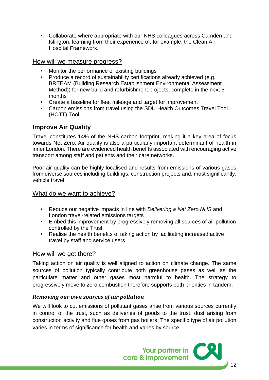• Collaborate where appropriate with our NHS colleagues across Camden and Islington, learning from their experience of, for example, the Clean Air Hospital Framework.

#### How will we measure progress?

- Monitor the performance of existing buildings
- Produce a record of sustainability certifications already achieved (e.g. BREEAM (Building Research Establishment Environmental Assessment Method)) for new build and refurbishment projects, complete in the next 6 months
- Create a baseline for fleet mileage and target for improvement
- Carbon emissions from travel using the SDU Health Outcomes Travel Tool (HOTT) Tool

#### **Improve Air Quality**

Travel constitutes 14% of the NHS carbon footprint, making it a key area of focus towards Net Zero. Air quality is also a particularly important determinant of health in inner London. There are evidenced health benefits associated with encouraging active transport among staff and patients and their care networks.

Poor air quality can be highly localised and results from emissions of various gases from diverse sources including buildings, construction projects and, most significantly, vehicle travel.

#### What do we want to achieve?

- Reduce our negative impacts in line with *Delivering a Net Zero NHS* and London travel-related emissions targets
- Embed this improvement by progressively removing all sources of air pollution controlled by the Trust
- Realise the health benefits of taking action by facilitating increased active travel by staff and service users

#### How will we get there?

Taking action on air quality is well aligned to action on climate change. The same sources of pollution typically contribute both greenhouse gases as well as the particulate matter and other gases most harmful to health. The strategy to progressively move to zero combustion therefore supports both priorities in tandem.

#### *Removing our own sources of air pollution*

We will look to cut emissions of pollutant gases arise from various sources currently in control of the trust, such as deliveries of goods to the trust, dust arising from construction activity and flue gases from gas boilers. The specific type of air pollution varies in terms of significance for health and varies by source.

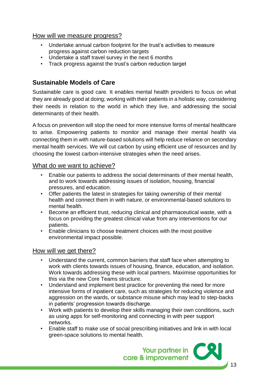#### How will we measure progress?

- Undertake annual carbon footprint for the trust's activities to measure progress against carbon reduction targets
- Undertake a staff travel survey in the next 6 months
- Track progress against the trust's carbon reduction target

### **Sustainable Models of Care**

Sustainable care is good care. It enables mental health providers to focus on what they are already good at doing; working with their patients in a holistic way, considering their needs in relation to the world in which they live, and addressing the social determinants of their health.

A focus on prevention will stop the need for more intensive forms of mental healthcare to arise. Empowering patients to monitor and manage their mental health via connecting them in with nature-based solutions will help reduce reliance on secondary mental health services. We will cut carbon by using efficient use of resources and by choosing the lowest carbon-intensive strategies when the need arises.

#### What do we want to achieve?

- Enable our patients to address the social determinants of their mental health, and to work towards addressing issues of isolation, housing, financial pressures, and education.
- Offer patients the latest in strategies for taking ownership of their mental health and connect them in with nature, or environmental-based solutions to mental health.
- Become an efficient trust, reducing clinical and pharmaceutical waste, with a focus on providing the greatest clinical value from any interventions for our patients.
- Enable clinicians to choose treatment choices with the most positive environmental impact possible.

#### How will we get there?

- Understand the current, common barriers that staff face when attempting to work with clients towards issues of housing, finance, education, and isolation. Work towards addressing these with local partners. Maximise opportunities for this via the new Core Teams structure.
- Understand and implement best practice for preventing the need for more intensive forms of inpatient care, such as strategies for reducing violence and aggression on the wards, or substance misuse which may lead to step-backs in patients' progression towards discharge.
- Work with patients to develop their skills managing their own conditions, such as using apps for self-monitoring and connecting in with peer support networks.
- Enable staff to make use of social prescribing initiatives and link in with local green-space solutions to mental health.

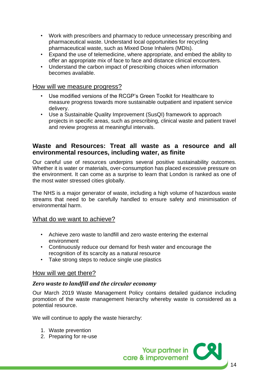- Work with prescribers and pharmacy to reduce unnecessary prescribing and pharmaceutical waste. Understand local opportunities for recycling pharmaceutical waste, such as Mixed Dose Inhalers (MDIs).
- Expand the use of telemedicine, where appropriate, and embed the ability to offer an appropriate mix of face to face and distance clinical encounters.
- Understand the carbon impact of prescribing choices when information becomes available.

#### How will we measure progress?

- Use modified versions of the RCGP's Green Toolkit for Healthcare to measure progress towards more sustainable outpatient and inpatient service delivery.
- Use a Sustainable Quality Improvement (SusQI) framework to approach projects in specific areas, such as prescribing, clinical waste and patient travel and review progress at meaningful intervals.

#### **Waste and Resources: Treat all waste as a resource and all environmental resources, including water, as finite**

Our careful use of resources underpins several positive sustainability outcomes. Whether it is water or materials, over-consumption has placed excessive pressure on the environment. It can come as a surprise to learn that London is ranked as one of the most water stressed cities globally.

The NHS is a major generator of waste, including a high volume of hazardous waste streams that need to be carefully handled to ensure safety and minimisation of environmental harm.

#### What do we want to achieve?

- Achieve zero waste to landfill and zero waste entering the external environment
- Continuously reduce our demand for fresh water and encourage the recognition of its scarcity as a natural resource
- Take strong steps to reduce single use plastics

#### How will we get there?

#### *Zero waste to landfill and the circular economy*

Our March 2019 Waste Management Policy contains detailed guidance including promotion of the waste management hierarchy whereby waste is considered as a potential resource.

We will continue to apply the waste hierarchy:

- 1. Waste prevention
- 2. Preparing for re-use

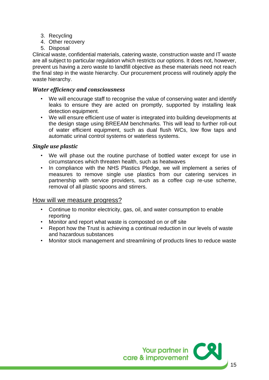- 3. Recycling
- 4. Other recovery
- 5. Disposal

Clinical waste, confidential materials, catering waste, construction waste and IT waste are all subject to particular regulation which restricts our options. It does not, however, prevent us having a zero waste to landfill objective as these materials need not reach the final step in the waste hierarchy. Our procurement process will routinely apply the waste hierarchy.

#### *Water efficiency and consciousness*

- We will encourage staff to recognise the value of conserving water and identify leaks to ensure they are acted on promptly, supported by installing leak detection equipment.
- We will ensure efficient use of water is integrated into building developments at the design stage using BREEAM benchmarks. This will lead to further roll-out of water efficient equipment, such as dual flush WCs, low flow taps and automatic urinal control systems or waterless systems.

#### *Single use plastic*

- We will phase out the routine purchase of bottled water except for use in circumstances which threaten health, such as heatwaves
- In compliance with the NHS Plastics Pledge, we will implement a series of measures to remove single use plastics from our catering services in partnership with service providers, such as a coffee cup re-use scheme, removal of all plastic spoons and stirrers.

#### How will we measure progress?

- Continue to monitor electricity, gas, oil, and water consumption to enable reporting
- Monitor and report what waste is composted on or off site
- Report how the Trust is achieving a continual reduction in our levels of waste and hazardous substances
- Monitor stock management and streamlining of products lines to reduce waste

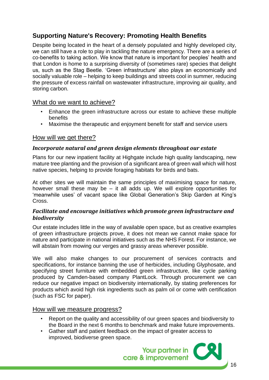## **Supporting Nature's Recovery: Promoting Health Benefits**

Despite being located in the heart of a densely populated and highly developed city, we can still have a role to play in tackling the nature emergency. There are a series of co-benefits to taking action. We know that nature is important for peoples' health and that London is home to a surprising diversity of (sometimes rare) species that delight us, such as the Stag Beetle. 'Green infrastructure' also plays an economically and socially valuable role – helping to keep buildings and streets cool in summer, reducing the pressure of excess rainfall on wastewater infrastructure, improving air quality, and storing carbon.

#### What do we want to achieve?

- Enhance the green infrastructure across our estate to achieve these multiple benefits
- Maximise the therapeutic and enjoyment benefit for staff and service users

#### How will we get there?

#### *Incorporate natural and green design elements throughout our estate*

Plans for our new inpatient facility at Highgate include high quality landscaping, new mature tree planting and the provision of a significant area of green wall which will host native species, helping to provide foraging habitats for birds and bats.

At other sites we will maintain the same principles of maximising space for nature, however small these may be – it all adds up. We will explore opportunities for 'meanwhile uses' of vacant space like Global Generation's Skip Garden at King's Cross.

#### *Facilitate and encourage initiatives which promote green infrastructure and biodiversity*

Our estate includes little in the way of available open space, but as creative examples of green infrastructure projects prove, it does not mean we cannot make space for nature and participate in national initiatives such as the NHS Forest. For instance, we will abstain from mowing our verges and grassy areas wherever possible.

We will also make changes to our procurement of services contracts and specifications, for instance banning the use of herbicides, including Glyphosate, and specifying street furniture with embedded green infrastructure, like cycle parking produced by Camden-based company PlantLock. Through procurement we can reduce our negative impact on biodiversity internationally, by stating preferences for products which avoid high risk ingredients such as palm oil or come with certification (such as FSC for paper).

How will we measure progress?

- Report on the quality and accessibility of our green spaces and biodiversity to the Board in the next 6 months to benchmark and make future improvements.
- Gather staff and patient feedback on the impact of greater access to improved, biodiverse green space.

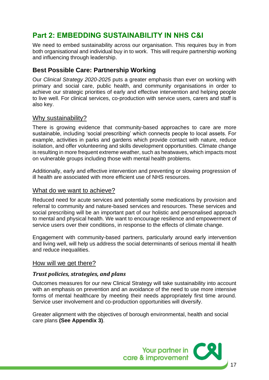## <span id="page-16-0"></span>**Part 2: EMBEDDING SUSTAINABILITY IN NHS C&I**

We need to embed sustainability across our organisation. This requires buy in from both organisational and individual buy in to work. This will require partnership working and influencing through leadership.

#### **Best Possible Care: Partnership Working**

Our *Clinical Strategy 2020-2025* puts a greater emphasis than ever on working with primary and social care, public health, and community organisations in order to achieve our strategic priorities of early and effective intervention and helping people to live well. For clinical services, co-production with service users, carers and staff is also key.

#### Why sustainability?

There is growing evidence that community-based approaches to care are more sustainable, including 'social prescribing' which connects people to local assets. For example, activities in parks and gardens which provide contact with nature, reduce isolation, and offer volunteering and skills development opportunities. Climate change is resulting in more frequent extreme weather, such as heatwaves, which impacts most on vulnerable groups including those with mental health problems.

Additionally, early and effective intervention and preventing or slowing progression of ill health are associated with more efficient use of NHS resources.

#### What do we want to achieve?

Reduced need for acute services and potentially some medications by provision and referral to community and nature-based services and resources. These services and social prescribing will be an important part of our holistic and personalised approach to mental and physical health. We want to encourage resilience and empowerment of service users over their conditions, in response to the effects of climate change.

Engagement with community-based partners, particularly around early intervention and living well, will help us address the social determinants of serious mental ill health and reduce inequalities.

#### How will we get there?

#### *Trust policies, strategies, and plans*

Outcomes measures for our new Clinical Strategy will take sustainability into account with an emphasis on prevention and an avoidance of the need to use more intensive forms of mental healthcare by meeting their needs appropriately first time around. Service user involvement and co-production opportunities will diversify.

Greater alignment with the objectives of borough environmental, health and social care plans **(See Appendix 3)**.

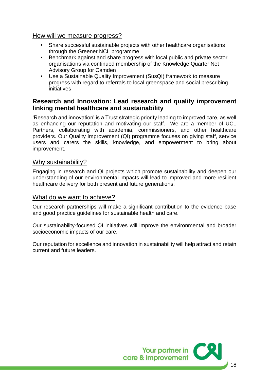#### How will we measure progress?

- Share successful sustainable projects with other healthcare organisations through the Greener NCL programme
- Benchmark against and share progress with local public and private sector organisations via continued membership of the Knowledge Quarter Net Advisory Group for Camden
- Use a Sustainable Quality Improvement (SusQI) framework to measure progress with regard to referrals to local greenspace and social prescribing initiatives

#### **Research and Innovation: Lead research and quality improvement linking mental healthcare and sustainability**

'Research and innovation' is a Trust strategic priority leading to improved care, as well as enhancing our reputation and motivating our staff. We are a member of UCL Partners, collaborating with academia, commissioners, and other healthcare providers. Our Quality Improvement (QI) programme focuses on giving staff, service users and carers the skills, knowledge, and empowerment to bring about improvement.

#### Why sustainability?

Engaging in research and QI projects which promote sustainability and deepen our understanding of our environmental impacts will lead to improved and more resilient healthcare delivery for both present and future generations.

#### What do we want to achieve?

Our research partnerships will make a significant contribution to the evidence base and good practice guidelines for sustainable health and care.

Our sustainability-focused QI initiatives will improve the environmental and broader socioeconomic impacts of our care.

Our reputation for excellence and innovation in sustainability will help attract and retain current and future leaders.

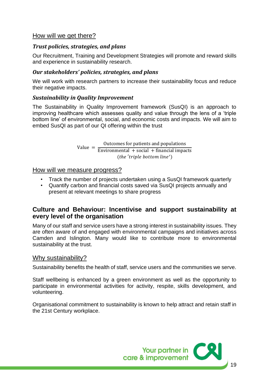#### How will we get there?

#### *Trust policies, strategies, and plans*

Our Recruitment, Training and Development Strategies will promote and reward skills and experience in sustainability research.

#### *Our stakeholders' policies, strategies, and plans*

We will work with research partners to increase their sustainability focus and reduce their negative impacts.

#### *Sustainability in Quality Improvement*

The Sustainability in Quality Improvement framework (SusQI) is an approach to improving healthcare which assesses quality and value through the lens of a 'triple bottom line' of environmental, social, and economic costs and impacts. We will aim to embed SusQI as part of our QI offering within the trust

> Value = Outcomes for patients and populations Environmental  $+$  social  $+$  financial impacts (the 'triple bottom line')

#### How will we measure progress?

- Track the number of projects undertaken using a SusQI framework quarterly
- Quantify carbon and financial costs saved via SusQI projects annually and present at relevant meetings to share progress

#### **Culture and Behaviour: Incentivise and support sustainability at every level of the organisation**

Many of our staff and service users have a strong interest in sustainability issues. They are often aware of and engaged with environmental campaigns and initiatives across Camden and Islington. Many would like to contribute more to environmental sustainability at the trust.

#### Why sustainability?

Sustainability benefits the health of staff, service users and the communities we serve.

Staff wellbeing is enhanced by a green environment as well as the opportunity to participate in environmental activities for activity, respite, skills development, and volunteering.

Organisational commitment to sustainability is known to help attract and retain staff in the 21st Century workplace.

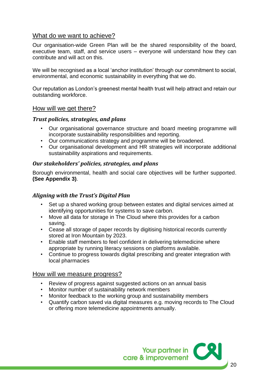#### What do we want to achieve?

Our organisation-wide Green Plan will be the shared responsibility of the board, executive team, staff, and service users – everyone will understand how they can contribute and will act on this.

We will be recognised as a local 'anchor institution' through our commitment to social, environmental, and economic sustainability in everything that we do.

Our reputation as London's greenest mental health trust will help attract and retain our outstanding workforce.

#### How will we get there?

#### *Trust policies, strategies, and plans*

- Our organisational governance structure and board meeting programme will incorporate sustainability responsibilities and reporting.
- Our communications strategy and programme will be broadened.
- Our organisational development and HR strategies will incorporate additional sustainability aspirations and requirements.

#### *Our stakeholders' policies, strategies, and plans*

Borough environmental, health and social care objectives will be further supported. **(See Appendix 3)**.

#### *Aligning with the Trust's Digital Plan*

- Set up a shared working group between estates and digital services aimed at identifying opportunities for systems to save carbon.
- Move all data for storage in The Cloud where this provides for a carbon saving.
- Cease all storage of paper records by digitising historical records currently stored at Iron Mountain by 2023.
- Enable staff members to feel confident in delivering telemedicine where appropriate by running literacy sessions on platforms available.
- Continue to progress towards digital prescribing and greater integration with local pharmacies

#### How will we measure progress?

- Review of progress against suggested actions on an annual basis
- Monitor number of sustainability network members
- Monitor feedback to the working group and sustainability members
- Quantify carbon saved via digital measures e.g. moving records to The Cloud or offering more telemedicine appointments annually.

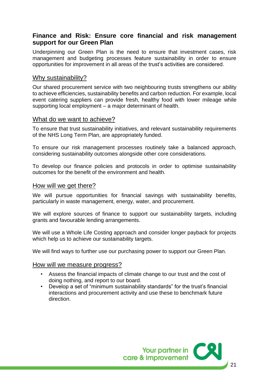#### **Finance and Risk: Ensure core financial and risk management support for our Green Plan**

Underpinning our Green Plan is the need to ensure that investment cases, risk management and budgeting processes feature sustainability in order to ensure opportunities for improvement in all areas of the trust's activities are considered.

#### Why sustainability?

Our shared procurement service with two neighbouring trusts strengthens our ability to achieve efficiencies, sustainability benefits and carbon reduction. For example, local event catering suppliers can provide fresh, healthy food with lower mileage while supporting local employment – a major determinant of health.

#### What do we want to achieve?

To ensure that trust sustainability initiatives, and relevant sustainability requirements of the NHS Long Term Plan, are appropriately funded.

To ensure our risk management processes routinely take a balanced approach, considering sustainability outcomes alongside other core considerations.

To develop our finance policies and protocols in order to optimise sustainability outcomes for the benefit of the environment and health.

#### How will we get there?

We will pursue opportunities for financial savings with sustainability benefits, particularly in waste management, energy, water, and procurement.

We will explore sources of finance to support our sustainability targets, including grants and favourable lending arrangements.

We will use a Whole Life Costing approach and consider longer payback for projects which help us to achieve our sustainability targets.

We will find ways to further use our purchasing power to support our Green Plan.

#### How will we measure progress?

- Assess the financial impacts of climate change to our trust and the cost of doing nothing, and report to our board.
- Develop a set of "minimum sustainability standards" for the trust's financial interactions and procurement activity and use these to benchmark future direction.

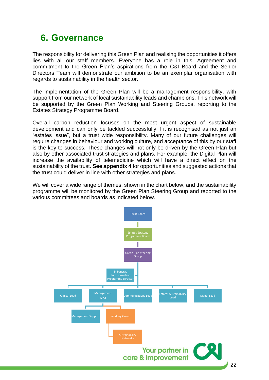## <span id="page-21-0"></span>**6. Governance**

The responsibility for delivering this Green Plan and realising the opportunities it offers lies with all our staff members. Everyone has a role in this. Agreement and commitment to the Green Plan's aspirations from the C&I Board and the Senior Directors Team will demonstrate our ambition to be an exemplar organisation with regards to sustainability in the health sector.

The implementation of the Green Plan will be a management responsibility, with support from our network of local sustainability leads and champions. This network will be supported by the Green Plan Working and Steering Groups, reporting to the Estates Strategy Programme Board.

Overall carbon reduction focuses on the most urgent aspect of sustainable development and can only be tackled successfully if it is recognised as not just an "estates issue", but a trust wide responsibility. Many of our future challenges will require changes in behaviour and working culture, and acceptance of this by our staff is the key to success. These changes will not only be driven by the Green Plan but also by other associated trust strategies and plans. For example, the Digital Plan will increase the availability of telemedicine which will have a direct effect on the sustainability of the trust. **See appendix 4** for opportunities and suggested actions that the trust could deliver in line with other strategies and plans.

We will cover a wide range of themes, shown in the chart below, and the sustainability programme will be monitored by the Green Plan Steering Group and reported to the various committees and boards as indicated below.

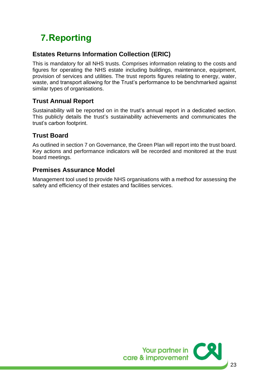# <span id="page-22-0"></span>**7.Reporting**

### **Estates Returns Information Collection (ERIC)**

This is mandatory for all NHS trusts. Comprises information relating to the costs and figures for operating the NHS estate including buildings, maintenance, equipment, provision of services and utilities. The trust reports figures relating to energy, water, waste, and transport allowing for the Trust's performance to be benchmarked against similar types of organisations.

## **Trust Annual Report**

Sustainability will be reported on in the trust's annual report in a dedicated section. This publicly details the trust's sustainability achievements and communicates the trust's carbon footprint.

#### **Trust Board**

As outlined in section 7 on Governance, the Green Plan will report into the trust board. Key actions and performance indicators will be recorded and monitored at the trust board meetings.

#### **Premises Assurance Model**

<span id="page-22-1"></span>Management tool used to provide NHS organisations with a method for assessing the safety and efficiency of their estates and facilities services.

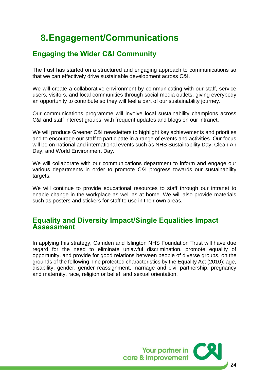## **8.Engagement/Communications**

## <span id="page-23-0"></span>**Engaging the Wider C&I Community**

The trust has started on a structured and engaging approach to communications so that we can effectively drive sustainable development across C&I.

We will create a collaborative environment by communicating with our staff, service users, visitors, and local communities through social media outlets, giving everybody an opportunity to contribute so they will feel a part of our sustainability journey.

Our communications programme will involve local sustainability champions across C&I and staff interest groups, with frequent updates and blogs on our intranet.

We will produce Greener C&I newsletters to highlight key achievements and priorities and to encourage our staff to participate in a range of events and activities. Our focus will be on national and international events such as NHS Sustainability Day, Clean Air Day, and World Environment Day.

We will collaborate with our communications department to inform and engage our various departments in order to promote C&I progress towards our sustainability targets.

We will continue to provide educational resources to staff through our intranet to enable change in the workplace as well as at home. We will also provide materials such as posters and stickers for staff to use in their own areas.

### <span id="page-23-1"></span>**Equality and Diversity Impact/Single Equalities Impact Assessment**

In applying this strategy, Camden and Islington NHS Foundation Trust will have due regard for the need to eliminate unlawful discrimination, promote equality of opportunity, and provide for good relations between people of diverse groups, on the grounds of the following nine protected characteristics by the Equality Act (2010); age, disability, gender, gender reassignment, marriage and civil partnership, pregnancy and maternity, race, religion or belief, and sexual orientation.

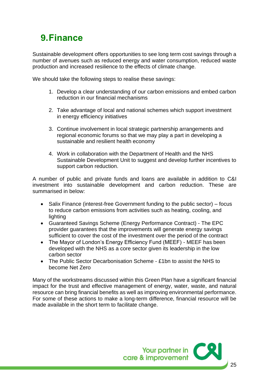## <span id="page-24-0"></span>**9.Finance**

Sustainable development offers opportunities to see long term cost savings through a number of avenues such as reduced energy and water consumption, reduced waste production and increased resilience to the effects of climate change.

We should take the following steps to realise these savings:

- 1. Develop a clear understanding of our carbon emissions and embed carbon reduction in our financial mechanisms
- 2. Take advantage of local and national schemes which support investment in energy efficiency initiatives
- 3. Continue involvement in local strategic partnership arrangements and regional economic forums so that we may play a part in developing a sustainable and resilient health economy
- 4. Work in collaboration with the Department of Health and the NHS Sustainable Development Unit to suggest and develop further incentives to support carbon reduction.

A number of public and private funds and loans are available in addition to C&I investment into sustainable development and carbon reduction. These are summarised in below:

- Salix Finance (interest-free Government funding to the public sector) focus to reduce carbon emissions from activities such as heating, cooling, and lighting
- Guaranteed Savings Scheme (Energy Performance Contract) The EPC provider guarantees that the improvements will generate energy savings sufficient to cover the cost of the investment over the period of the contract
- The Mayor of London's Energy Efficiency Fund (MEEF) MEEF has been developed with the NHS as a core sector given its leadership in the low carbon sector
- The Public Sector Decarbonisation Scheme £1bn to assist the NHS to become Net Zero

Many of the workstreams discussed within this Green Plan have a significant financial impact for the trust and effective management of energy, water, waste, and natural resource can bring financial benefits as well as improving environmental performance. For some of these actions to make a long-term difference, financial resource will be made available in the short term to facilitate change.

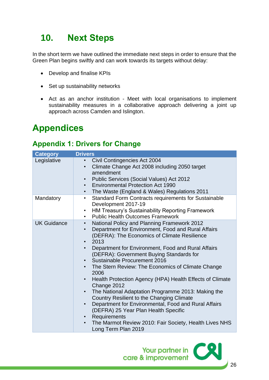# <span id="page-25-0"></span>**10. Next Steps**

In the short term we have outlined the immediate next steps in order to ensure that the Green Plan begins swiftly and can work towards its targets without delay:

- Develop and finalise KPIs
- Set up sustainability networks
- Act as an anchor institution Meet with local organisations to implement sustainability measures in a collaborative approach delivering a joint up approach across Camden and Islington.

# <span id="page-25-1"></span>**Appendices**

## <span id="page-25-2"></span>**Appendix 1: Drivers for Change**

| <b>Category</b>    | <b>Drivers</b>                                                                                                                                                                                                                                                                                                                                                                                                                                                                                                                                                                                                                                                                                                                                                                                                                                         |
|--------------------|--------------------------------------------------------------------------------------------------------------------------------------------------------------------------------------------------------------------------------------------------------------------------------------------------------------------------------------------------------------------------------------------------------------------------------------------------------------------------------------------------------------------------------------------------------------------------------------------------------------------------------------------------------------------------------------------------------------------------------------------------------------------------------------------------------------------------------------------------------|
| Legislative        | Civil Contingencies Act 2004<br>Climate Change Act 2008 including 2050 target<br>$\bullet$<br>amendment<br>Public Services (Social Values) Act 2012<br>$\bullet$<br><b>Environmental Protection Act 1990</b><br>$\bullet$<br>The Waste (England & Wales) Regulations 2011<br>$\bullet$                                                                                                                                                                                                                                                                                                                                                                                                                                                                                                                                                                 |
| Mandatory          | Standard Form Contracts requirements for Sustainable<br>$\bullet$<br>Development 2017-19<br>HM Treasury's Sustainability Reporting Framework<br>$\bullet$<br><b>Public Health Outcomes Framework</b><br>$\bullet$                                                                                                                                                                                                                                                                                                                                                                                                                                                                                                                                                                                                                                      |
| <b>UK Guidance</b> | <b>National Policy and Planning Framework 2012</b><br>$\bullet$<br>Department for Environment, Food and Rural Affairs<br>$\bullet$<br>(DEFRA): The Economics of Climate Resilience<br>2013<br>$\bullet$<br>Department for Environment, Food and Rural Affairs<br>$\bullet$<br>(DEFRA): Government Buying Standards for<br>Sustainable Procurement 2016<br>The Stern Review: The Economics of Climate Change<br>2006<br>Health Protection Agency (HPA) Health Effects of Climate<br>Change 2012<br>The National Adaptation Programme 2013: Making the<br>$\bullet$<br>Country Resilient to the Changing Climate<br>Department for Environmental, Food and Rural Affairs<br>$\bullet$<br>(DEFRA) 25 Year Plan Health Specific<br>Requirements<br>$\bullet$<br>The Marmot Review 2010: Fair Society, Health Lives NHS<br>$\bullet$<br>Long Term Plan 2019 |

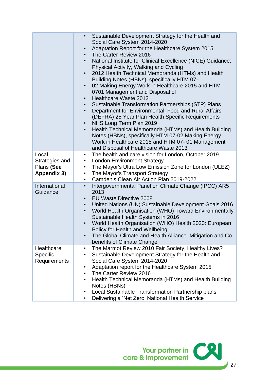|                                                      | Sustainable Development Strategy for the Health and<br>Social Care System 2014-2020<br>Adaptation Report for the Healthcare System 2015<br>$\bullet$<br>The Carter Review 2016<br>$\bullet$<br>National Institute for Clinical Excellence (NICE) Guidance:<br>Physical Activity, Walking and Cycling<br>2012 Health Technical Memoranda (HTMs) and Health<br>Building Notes (HBNs), specifically HTM 07-<br>02 Making Energy Work in Healthcare 2015 and HTM<br>$\bullet$<br>0701 Management and Disposal of<br><b>Healthcare Waste 2013</b><br>$\bullet$<br>Sustainable Transformation Partnerships (STP) Plans<br>Department for Environmental, Food and Rural Affairs<br>$\bullet$<br>(DEFRA) 25 Year Plan Health Specific Requirements<br>NHS Long Term Plan 2019<br>Health Technical Memoranda (HTMs) and Health Building<br>Notes (HBNs), specifically HTM 07-02 Making Energy<br>Work in Healthcare 2015 and HTM 07-01 Management |
|------------------------------------------------------|------------------------------------------------------------------------------------------------------------------------------------------------------------------------------------------------------------------------------------------------------------------------------------------------------------------------------------------------------------------------------------------------------------------------------------------------------------------------------------------------------------------------------------------------------------------------------------------------------------------------------------------------------------------------------------------------------------------------------------------------------------------------------------------------------------------------------------------------------------------------------------------------------------------------------------------|
|                                                      | and Disposal of Healthcare Waste 2013                                                                                                                                                                                                                                                                                                                                                                                                                                                                                                                                                                                                                                                                                                                                                                                                                                                                                                    |
| Local<br>Strategies and<br>Plans (See<br>Appendix 3) | The health and care vision for London, October 2019<br>$\bullet$<br><b>London Environment Strategy</b><br>$\bullet$<br>The Mayor's Ultra Low Emission Zone for London (ULEZ)<br>$\bullet$<br>The Mayor's Transport Strategy<br>٠<br>Camden's Clean Air Action Plan 2019-2022<br>$\bullet$                                                                                                                                                                                                                                                                                                                                                                                                                                                                                                                                                                                                                                                |
| International<br>Guidance                            | Intergovernmental Panel on Climate Change (IPCC) AR5<br>$\bullet$<br>2013<br><b>EU Waste Directive 2008</b><br>$\bullet$<br>United Nations (UN) Sustainable Development Goals 2016<br>$\bullet$<br>World Health Organisation (WHO) Toward Environmentally<br>$\bullet$<br>Sustainable Health Systems in 2016<br>World Health Organisation (WHO) Health 2020: European<br>Policy for Health and Wellbeing<br>The Global Climate and Health Alliance. Mitigation and Co-<br>benefits of Climate Change                                                                                                                                                                                                                                                                                                                                                                                                                                     |
| Healthcare<br>Specific<br><b>Requirements</b>        | The Marmot Review 2010 Fair Society, Healthy Lives?<br>Sustainable Development Strategy for the Health and<br>٠<br>Social Care System 2014-2020<br>Adaptation report for the Healthcare System 2015<br>٠<br>The Carter Review 2016<br>٠<br>Health Technical Memoranda (HTMs) and Health Building<br>٠<br>Notes (HBNs)<br>Local Sustainable Transformation Partnership plans<br>٠<br>Delivering a 'Net Zero' National Health Service<br>٠                                                                                                                                                                                                                                                                                                                                                                                                                                                                                                 |

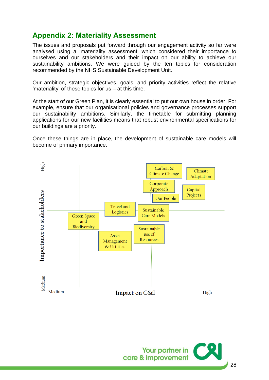## <span id="page-27-0"></span>**Appendix 2: Materiality Assessment**

The issues and proposals put forward through our engagement activity so far were analysed using a 'materiality assessment' which considered their importance to ourselves and our stakeholders and their impact on our ability to achieve our sustainability ambitions. We were guided by the ten topics for consideration recommended by the NHS Sustainable Development Unit.

Our ambition, strategic objectives, goals, and priority activities reflect the relative 'materiality' of these topics for us – at this time.

At the start of our Green Plan, it is clearly essential to put our own house in order. For example, ensure that our organisational policies and governance processes support our sustainability ambitions. Similarly, the timetable for submitting planning applications for our new facilities means that robust environmental specifications for our buildings are a priority.

Once these things are in place, the development of sustainable care models will become of primary importance.



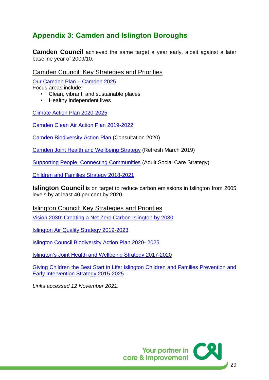## <span id="page-28-0"></span>**Appendix 3: Camden and Islington Boroughs**

**Camden Council** achieved the same target a year early, albeit against a later baseline year of 2009/10.

#### Camden Council: Key Strategies and Priorities

[Our Camden Plan –](https://www3.camden.gov.uk/2025/our-camden-plan/) Camden 2025

Focus areas include:

- Clean, vibrant, and sustainable places
- Healthy independent lives

[Climate Action Plan 2020-2025](https://www.camden.gov.uk/how-are-we-tackling-the-climate-crisis-in-camden-?inheritRedirect=true#rqld)

[Camden Clean Air Action Plan 2019-2022](https://www.camden.gov.uk/documents/20142/0/Clean+air+action+plan+2019-2022_final2.pdf/f7cd1a68-e707-0755-528a-59388adf0995)

[Camden Biodiversity Action Plan](https://camdenbiodiversitymap.commonplace.is/about) (Consultation 2020)

[Camden Joint Health and Wellbeing Strategy](https://www.camden.gov.uk/documents/20142/1006758/Joint+Health+and+Wellbeing+Strategy.pdf/9de25fe9-c138-caae-33de-7fc1e3ce1f25) (Refresh March 2019)

[Supporting People, Connecting Communities](https://www.camden.gov.uk/documents/20142/1006758/Supporting+people+connecting+communities.pdf/6eff2f46-e35b-78fd-9920-3e6c6c9aa601) (Adult Social Care Strategy)

[Children and Families Strategy 2018-2021](https://www.camdenkids.com.au/assets/Uploads/Camden-Children-and-Families-Strategy2.pdf)

**Islington Council** is on target to reduce carbon emissions in Islington from 2005 levels by at least 40 per cent by 2020.

Islington Council: Key Strategies and Priorities

[Vision 2030: Creating a Net Zero Carbon Islington by 2030](https://www.islington.gov.uk/~/media/sharepoint-lists/public-records/Communications/Publicity/Publicconsultation/20192020/20200327IslingtonZeroCarbonStrategy20201)

[Islington Air Quality Strategy 2019-2023](https://www.islington.gov.uk/-/media/sharepoint-lists/public-records/environmentalprotection/information/adviceandguidance/20192020/20191018airqualitystrategy2019.pdf)

[Islington Council Biodiversity Action Plan 2020-](https://www.islington.gov.uk/-/media/sharepoint-lists/public-records/communications/publicity/publicconsultation/20192020/20200326islingtonbiodiversityactionplan2020to2025web1.pdf) 2025

[Islington's Joint Health and Wellbeing Strategy 2017-2020](https://www.islington.gov.uk/~/media/sharepoint-lists/public-records/publichealth/information/adviceandinformation/20162017/20170131islingtonjointhealthandwellbeingstrategy201720201.pdf?la=en)

[Giving Children the Best Start in Life: Islington Children and Families Prevention and](https://www.islington.gov.uk/~/media/sharepoint-lists/public-records/childrenandfamiliesservices/businessplanning/strategies/20142015/20150303islingtonchildrenandfamiliespreventionandearlyinterventionstrategy20152025)  [Early Intervention Strategy 2015-2025](https://www.islington.gov.uk/~/media/sharepoint-lists/public-records/childrenandfamiliesservices/businessplanning/strategies/20142015/20150303islingtonchildrenandfamiliespreventionandearlyinterventionstrategy20152025)

*Links accessed 12 November 2021.* 

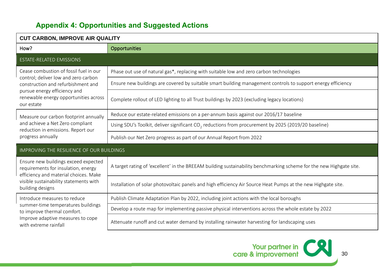## **Appendix 4: Opportunities and Suggested Actions**

<span id="page-29-0"></span>

| <b>CUT CARBON, IMPROVE AIR QUALITY</b>                                                                                                                                             |                                                                                                                     |  |
|------------------------------------------------------------------------------------------------------------------------------------------------------------------------------------|---------------------------------------------------------------------------------------------------------------------|--|
| How?                                                                                                                                                                               | <b>Opportunities</b>                                                                                                |  |
| <b>ESTATE-RELATED EMISSIONS</b>                                                                                                                                                    |                                                                                                                     |  |
| Cease combustion of fossil fuel in our                                                                                                                                             | Phase out use of natural gas*, replacing with suitable low and zero carbon technologies                             |  |
| control; deliver low and zero carbon<br>construction and refurbishment and                                                                                                         | Ensure new buildings are covered by suitable smart building management controls to support energy efficiency        |  |
| pursue energy efficiency and<br>renewable energy opportunities across<br>our estate                                                                                                | Complete rollout of LED lighting to all Trust buildings by 2023 (excluding legacy locations)                        |  |
| Measure our carbon footprint annually                                                                                                                                              | Reduce our estate-related emissions on a per-annum basis against our 2016/17 baseline                               |  |
| and achieve a Net Zero compliant<br>reduction in emissions. Report our                                                                                                             | Using SDU's Toolkit, deliver significant CO <sub>2</sub> reductions from procurement by 2025 (2019/20 baseline)     |  |
| progress annually                                                                                                                                                                  | Publish our Net Zero progress as part of our Annual Report from 2022                                                |  |
| <b>IMPROVING THE RESILIENCE OF OUR BUILDINGS</b>                                                                                                                                   |                                                                                                                     |  |
| Ensure new buildings exceed expected<br>requirements for insulation, energy<br>efficiency and material choices. Make<br>visible sustainability statements with<br>building designs | A target rating of 'excellent' in the BREEAM building sustainability benchmarking scheme for the new Highgate site. |  |
|                                                                                                                                                                                    | Installation of solar photovoltaic panels and high efficiency Air Source Heat Pumps at the new Highgate site.       |  |
| Introduce measures to reduce                                                                                                                                                       | Publish Climate Adaptation Plan by 2022, including joint actions with the local boroughs                            |  |
| summer-time temperatures buildings<br>to improve thermal comfort.<br>Improve adaptive measures to cope<br>with extreme rainfall                                                    | Develop a route map for implementing passive physical interventions across the whole estate by 2022                 |  |
|                                                                                                                                                                                    | Attenuate runoff and cut water demand by installing rainwater harvesting for landscaping uses                       |  |

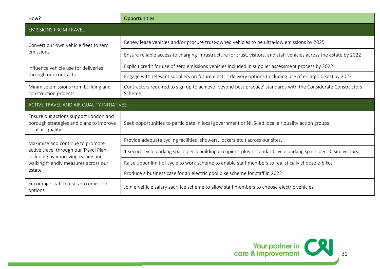| How?                                                                                                                           | Opportunities                                                                                                           |  |
|--------------------------------------------------------------------------------------------------------------------------------|-------------------------------------------------------------------------------------------------------------------------|--|
| <b>EMISSIONS FROM TRAVEL</b>                                                                                                   |                                                                                                                         |  |
| Convert our own vehicle fleet to zero<br>emissions                                                                             | Renew lease vehicles and/or procure trust-owned vehicles to be ultra-low emissions by 2025                              |  |
|                                                                                                                                | Ensure reliable access to charging infrastructure for trust, visitors, and staff vehicles across the estate by 2022     |  |
| Influence vehicle use for deliveries                                                                                           | Explicit credit for use of zero emissions vehicles included in supplier assessment process by 2022                      |  |
| through our contracts                                                                                                          | Engage with relevant suppliers on future electric delivery options (including use of e-cargo bikes) by 2022             |  |
| Minimise emissions from building and<br>construction projects                                                                  | Contractors required to sign up to achieve 'beyond best practice' standards with the Considerate Constructors<br>Scheme |  |
| ACTIVE TRAVEL AND AIR QUALITY INITIATIVES                                                                                      |                                                                                                                         |  |
| Ensure our actions support London and<br>borough strategies and plans to improve<br>local air quality                          | Seek opportunities to participate in local government or NHS-led local air quality action groups                        |  |
| Maximise and continue to promote                                                                                               | Provide adequate cycling facilities (showers, lockers etc.) across our sites.                                           |  |
| active travel through our Travel Plan,<br>including by improving cycling and<br>walking friendly measures across our<br>estate | 1 secure cycle parking space per 5 building occupiers, plus 1 standard cycle parking space per 20 site visitors         |  |
|                                                                                                                                | Raise upper limit of cycle to work scheme to enable staff members to realistically choose e-bikes                       |  |
|                                                                                                                                | Produce a business case for an electric pool bike scheme for staff in 2022                                              |  |
| Encourage staff to use zero emission<br>options                                                                                | Join e-vehicle salary sacrifice scheme to allow staff members to choose electric vehicles                               |  |

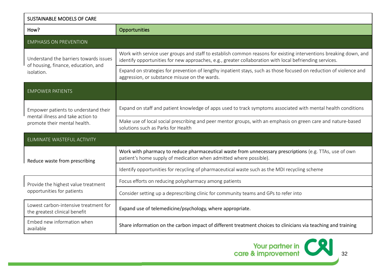| <b>SUSTAINABLE MODELS OF CARE</b>                                                                         |                                                                                                                                                                                                                              |
|-----------------------------------------------------------------------------------------------------------|------------------------------------------------------------------------------------------------------------------------------------------------------------------------------------------------------------------------------|
| How?                                                                                                      | Opportunities                                                                                                                                                                                                                |
| <b>EMPHASIS ON PREVENTION</b>                                                                             |                                                                                                                                                                                                                              |
| Understand the barriers towards issues<br>of housing, finance, education, and<br>isolation.               | Work with service user groups and staff to establish common reasons for existing interventions breaking down, and<br>identify opportunities for new approaches, e.g., greater collaboration with local befriending services. |
|                                                                                                           | Expand on strategies for prevention of lengthy inpatient stays, such as those focused on reduction of violence and<br>aggression, or substance misuse on the wards.                                                          |
| <b>EMPOWER PATIENTS</b>                                                                                   |                                                                                                                                                                                                                              |
| Empower patients to understand their<br>mental illness and take action to<br>promote their mental health. | Expand on staff and patient knowledge of apps used to track symptoms associated with mental health conditions                                                                                                                |
|                                                                                                           | Make use of local social prescribing and peer mentor groups, with an emphasis on green care and nature-based<br>solutions such as Parks for Health                                                                           |
| ELIMINATE WASTEFUL ACTIVITY                                                                               |                                                                                                                                                                                                                              |
| Reduce waste from prescribing                                                                             | Work with pharmacy to reduce pharmaceutical waste from unnecessary prescriptions (e.g. TTAs, use of own<br>patient's home supply of medication when admitted where possible).                                                |
|                                                                                                           | Identify opportunities for recycling of pharmaceutical waste such as the MDI recycling scheme                                                                                                                                |
| Provide the highest value treatment                                                                       | Focus efforts on reducing polypharmacy among patients                                                                                                                                                                        |
| opportunities for patients                                                                                | Consider setting up a deprescribing clinic for community teams and GPs to refer into                                                                                                                                         |
| Lowest carbon-intensive treatment for<br>the greatest clinical benefit                                    | Expand use of telemedicine/psychology, where appropriate.                                                                                                                                                                    |
| Embed new information when<br>available                                                                   | Share information on the carbon impact of different treatment choices to clinicians via teaching and training                                                                                                                |

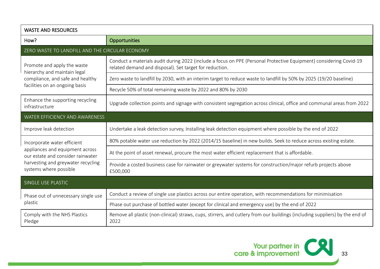| <b>WASTE AND RESOURCES</b>                                                                                                                                          |                                                                                                                                                                               |  |
|---------------------------------------------------------------------------------------------------------------------------------------------------------------------|-------------------------------------------------------------------------------------------------------------------------------------------------------------------------------|--|
| How?                                                                                                                                                                | <b>Opportunities</b>                                                                                                                                                          |  |
| ZERO WASTE TO LANDFILL AND THE CIRCULAR ECONOMY                                                                                                                     |                                                                                                                                                                               |  |
| Promote and apply the waste<br>hierarchy and maintain legal                                                                                                         | Conduct a materials audit during 2022 (include a focus on PPE (Personal Protective Equipment) considering Covid-19<br>related demand and disposal). Set target for reduction. |  |
| compliance, and safe and healthy                                                                                                                                    | Zero waste to landfill by 2030, with an interim target to reduce waste to landfill by 50% by 2025 (19/20 baseline)                                                            |  |
| facilities on an ongoing basis                                                                                                                                      | Recycle 50% of total remaining waste by 2022 and 80% by 2030                                                                                                                  |  |
| Enhance the supporting recycling<br>infrastructure                                                                                                                  | Upgrade collection points and signage with consistent segregation across clinical, office and communal areas from 2022                                                        |  |
| WATER EFFICIENCY AND AWARENESS                                                                                                                                      |                                                                                                                                                                               |  |
| Improve leak detection                                                                                                                                              | Undertake a leak detection survey, Installing leak detection equipment where possible by the end of 2022                                                                      |  |
| Incorporate water efficient<br>appliances and equipment across<br>our estate and consider rainwater<br>harvesting and greywater recycling<br>systems where possible | 80% potable water use reduction by 2022 (2014/15 baseline) in new builds. Seek to reduce across existing estate.                                                              |  |
|                                                                                                                                                                     | At the point of asset renewal, procure the most water efficient replacement that is affordable.                                                                               |  |
|                                                                                                                                                                     | Provide a costed business case for rainwater or greywater systems for construction/major refurb projects above<br>£500,000                                                    |  |
| SINGLE USE PLASTIC                                                                                                                                                  |                                                                                                                                                                               |  |
| Phase out of unnecessary single use                                                                                                                                 | Conduct a review of single use plastics across our entire operation, with recommendations for minimisation                                                                    |  |
| plastic                                                                                                                                                             | Phase out purchase of bottled water (except for clinical and emergency use) by the end of 2022                                                                                |  |
| Comply with the NHS Plastics<br>Pledge                                                                                                                              | Remove all plastic (non-clinical) straws, cups, stirrers, and cutlery from our buildings (including suppliers) by the end of<br>2022                                          |  |

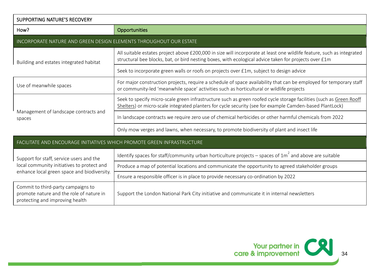| <b>SUPPORTING NATURE'S RECOVERY</b>                                                                                                   |                                                                                                                                                                                                                                 |  |
|---------------------------------------------------------------------------------------------------------------------------------------|---------------------------------------------------------------------------------------------------------------------------------------------------------------------------------------------------------------------------------|--|
| How?                                                                                                                                  | Opportunities                                                                                                                                                                                                                   |  |
| INCORPORATE NATURE AND GREEN DESIGN ELEMENTS THROUGHOUT OUR ESTATE                                                                    |                                                                                                                                                                                                                                 |  |
| Building and estates integrated habitat                                                                                               | All suitable estates project above £200,000 in size will incorporate at least one wildlife feature, such as integrated<br>structural bee blocks, bat, or bird nesting boxes, with ecological advice taken for projects over £1m |  |
|                                                                                                                                       | Seek to incorporate green walls or roofs on projects over £1m, subject to design advice                                                                                                                                         |  |
| Use of meanwhile spaces                                                                                                               | For major construction projects, require a schedule of space availability that can be employed for temporary staff<br>or community-led 'meanwhile space' activities such as horticultural or wildlife projects                  |  |
|                                                                                                                                       | Seek to specify micro-scale green infrastructure such as green roofed cycle storage facilities (such as Green Rooff<br>Shelters) or micro-scale integrated planters for cycle security (see for example Camden-based PlantLock) |  |
| Management of landscape contracts and<br>spaces                                                                                       | In landscape contracts we require zero use of chemical herbicides or other harmful chemicals from 2022                                                                                                                          |  |
|                                                                                                                                       | Only mow verges and lawns, when necessary, to promote biodiversity of plant and insect life                                                                                                                                     |  |
| FACILITATE AND ENCOURAGE INITIATIVES WHICH PROMOTE GREEN INFRASTRUCTURE                                                               |                                                                                                                                                                                                                                 |  |
| Support for staff, service users and the<br>local community initiatives to protect and<br>enhance local green space and biodiversity. | Identify spaces for staff/community urban horticulture projects – spaces of $1m^2$ and above are suitable                                                                                                                       |  |
|                                                                                                                                       | Produce a map of potential locations and communicate the opportunity to agreed stakeholder groups                                                                                                                               |  |
|                                                                                                                                       | Ensure a responsible officer is in place to provide necessary co-ordination by 2022                                                                                                                                             |  |
| Commit to third-party campaigns to<br>promote nature and the role of nature in<br>protecting and improving health                     | Support the London National Park City initiative and communicate it in internal newsletters                                                                                                                                     |  |

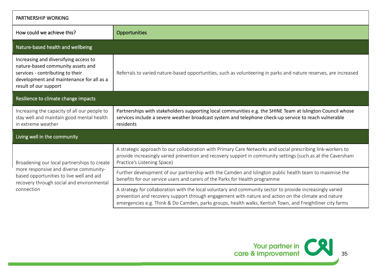| PARTNERSHIP WORKING                                                                                                                                                                          |                                                                                                                                                                                                                                                                                                                               |  |
|----------------------------------------------------------------------------------------------------------------------------------------------------------------------------------------------|-------------------------------------------------------------------------------------------------------------------------------------------------------------------------------------------------------------------------------------------------------------------------------------------------------------------------------|--|
| How could we achieve this?                                                                                                                                                                   | Opportunities                                                                                                                                                                                                                                                                                                                 |  |
| Nature-based health and wellbeing                                                                                                                                                            |                                                                                                                                                                                                                                                                                                                               |  |
| Increasing and diversifying access to<br>nature-based community assets and<br>services - contributing to their<br>development and maintenance for all as a<br>result of our support          | Referrals to varied nature-based opportunities, such as volunteering in parks and nature reserves, are increased                                                                                                                                                                                                              |  |
| Resilience to climate change impacts                                                                                                                                                         |                                                                                                                                                                                                                                                                                                                               |  |
| Increasing the capacity of all our people to<br>stay well and maintain good mental health<br>in extreme weather                                                                              | Partnerships with stakeholders supporting local communities e.g. the SHINE Team at Islington Council whose<br>services include a severe weather broadcast system and telephone check-up service to reach vulnerable<br>residents                                                                                              |  |
| Living well in the community                                                                                                                                                                 |                                                                                                                                                                                                                                                                                                                               |  |
| Broadening our local partnerships to create<br>more responsive and diverse community-<br>based opportunities to live well and aid<br>recovery through social and environmental<br>connection | A strategic approach to our collaboration with Primary Care Networks and social prescribing link-workers to<br>provide increasingly varied prevention and recovery support in community settings (such as at the Caversham<br>Practice's Listening Space)                                                                     |  |
|                                                                                                                                                                                              | Further development of our partnership with the Camden and Islington public health team to maximise the<br>benefits for our service users and carers of the Parks for Health programme                                                                                                                                        |  |
|                                                                                                                                                                                              | A strategy for collaboration with the local voluntary and community sector to provide increasingly varied<br>prevention and recovery support through engagement with nature and action on the climate and nature<br>emergencies e.g. Think & Do Camden, parks groups, health walks, Kentish Town, and Freightliner city farms |  |

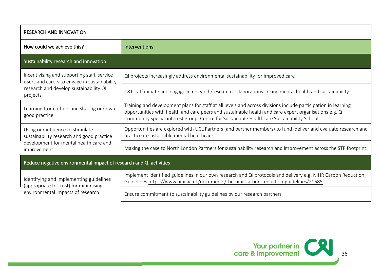| <b>RESEARCH AND INNOVATION</b>                                                                                                                    |                                                                                                                                                                                                                                                                                                                    |  |
|---------------------------------------------------------------------------------------------------------------------------------------------------|--------------------------------------------------------------------------------------------------------------------------------------------------------------------------------------------------------------------------------------------------------------------------------------------------------------------|--|
| How could we achieve this?                                                                                                                        | <b>Interventions</b>                                                                                                                                                                                                                                                                                               |  |
| Sustainability research and innovation                                                                                                            |                                                                                                                                                                                                                                                                                                                    |  |
| Incentivising and supporting staff, service<br>users and carers to engage in sustainability<br>research and develop sustainability QI<br>projects | QI projects increasingly address environmental sustainability for improved care                                                                                                                                                                                                                                    |  |
|                                                                                                                                                   | C&I staff initiate and engage in research/research collaborations linking mental health and sustainability                                                                                                                                                                                                         |  |
| Learning from others and sharing our own<br>good practice.                                                                                        | Training and development plans for staff at all levels and across divisions include participation in learning<br>opportunities with health and care peers and sustainable health and care expert organisations e.g. Q<br>Community special interest group, Centre for Sustainable Healthcare Sustainability School |  |
| Using our influence to stimulate<br>sustainability research and good practice<br>development for mental health care and<br>improvement            | Opportunities are explored with UCL Partners (and partner members) to fund, deliver and evaluate research and<br>practice in sustainable mental healthcare                                                                                                                                                         |  |
|                                                                                                                                                   | Making the case to North London Partners for sustainability research and improvement across the STP footprint                                                                                                                                                                                                      |  |
| Reduce negative environmental impact of research and QI activities                                                                                |                                                                                                                                                                                                                                                                                                                    |  |
| Identifying and implementing guidelines<br>(appropriate to Trust) for minimising<br>environmental impacts of research                             | Implement identified guidelines in our own research and QI protocols and delivery e.g. NIHR Carbon Reduction<br>Guidelines https://www.nihr.ac.uk/documents/the-nihr-carbon-reduction-guidelines/21685                                                                                                             |  |
|                                                                                                                                                   | Ensure commitment to sustainability guidelines by our research partners                                                                                                                                                                                                                                            |  |

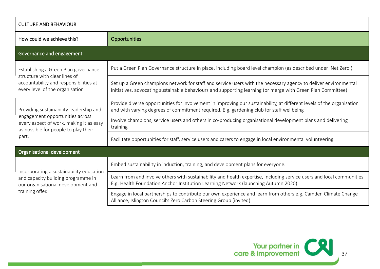| <b>CULTURE AND BEHAVIOUR</b>                                                                                                                                           |                                                                                                                                                                                                                                |
|------------------------------------------------------------------------------------------------------------------------------------------------------------------------|--------------------------------------------------------------------------------------------------------------------------------------------------------------------------------------------------------------------------------|
| How could we achieve this?                                                                                                                                             | Opportunities                                                                                                                                                                                                                  |
| Governance and engagement                                                                                                                                              |                                                                                                                                                                                                                                |
| Establishing a Green Plan governance<br>structure with clear lines of<br>accountability and responsibilities at<br>every level of the organisation                     | Put a Green Plan Governance structure in place, including board level champion (as described under 'Net Zero')                                                                                                                 |
|                                                                                                                                                                        | Set up a Green champions network for staff and service users with the necessary agency to deliver environmental<br>initiatives, advocating sustainable behaviours and supporting learning (or merge with Green Plan Committee) |
| Providing sustainability leadership and<br>engagement opportunities across<br>every aspect of work, making it as easy<br>as possible for people to play their<br>part. | Provide diverse opportunities for involvement in improving our sustainability, at different levels of the organisation<br>and with varying degrees of commitment required. E.g. gardening club for staff wellbeing             |
|                                                                                                                                                                        | Involve champions, service users and others in co-producing organisational development plans and delivering<br>training                                                                                                        |
|                                                                                                                                                                        | Facilitate opportunities for staff, service users and carers to engage in local environmental volunteering                                                                                                                     |
| Organisational development                                                                                                                                             |                                                                                                                                                                                                                                |
| Incorporating a sustainability education<br>and capacity building programme in<br>our organisational development and<br>training offer.                                | Embed sustainability in induction, training, and development plans for everyone.                                                                                                                                               |
|                                                                                                                                                                        | Learn from and involve others with sustainability and health expertise, including service users and local communities.<br>E.g. Health Foundation Anchor Institution Learning Network (launching Autumn 2020)                   |
|                                                                                                                                                                        | Engage in local partnerships to contribute our own experience and learn from others e.g. Camden Climate Change<br>Alliance, Islington Council's Zero Carbon Steering Group (invited)                                           |

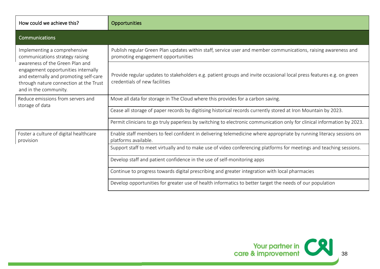| How could we achieve this?                                                                                                                                                                                                                             | Opportunities                                                                                                                                         |
|--------------------------------------------------------------------------------------------------------------------------------------------------------------------------------------------------------------------------------------------------------|-------------------------------------------------------------------------------------------------------------------------------------------------------|
| Communications                                                                                                                                                                                                                                         |                                                                                                                                                       |
| Implementing a comprehensive<br>communications strategy raising<br>awareness of the Green Plan and<br>engagement opportunities internally<br>and externally and promoting self-care<br>through nature connection at the Trust<br>and in the community. | Publish regular Green Plan updates within staff, service user and member communications, raising awareness and<br>promoting engagement opportunities  |
|                                                                                                                                                                                                                                                        | Provide regular updates to stakeholders e.g. patient groups and invite occasional local press features e.g. on green<br>credentials of new facilities |
| Reduce emissions from servers and<br>storage of data                                                                                                                                                                                                   | Move all data for storage in The Cloud where this provides for a carbon saving.                                                                       |
|                                                                                                                                                                                                                                                        | Cease all storage of paper records by digitising historical records currently stored at Iron Mountain by 2023.                                        |
|                                                                                                                                                                                                                                                        | Permit clinicians to go truly paperless by switching to electronic communication only for clinical information by 2023.                               |
| Foster a culture of digital healthcare<br>provision                                                                                                                                                                                                    | Enable staff members to feel confident in delivering telemedicine where appropriate by running literacy sessions on<br>platforms available.           |
|                                                                                                                                                                                                                                                        | Support staff to meet virtually and to make use of video conferencing platforms for meetings and teaching sessions.                                   |
|                                                                                                                                                                                                                                                        | Develop staff and patient confidence in the use of self-monitoring apps                                                                               |
|                                                                                                                                                                                                                                                        | Continue to progress towards digital prescribing and greater integration with local pharmacies                                                        |
|                                                                                                                                                                                                                                                        | Develop opportunities for greater use of health informatics to better target the needs of our population                                              |

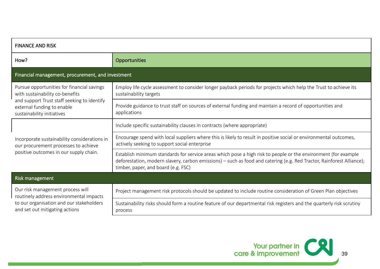| <b>FINANCE AND RISK</b>                                                                                                                                                                  |                                                                                                                                                                                                                                                                                |
|------------------------------------------------------------------------------------------------------------------------------------------------------------------------------------------|--------------------------------------------------------------------------------------------------------------------------------------------------------------------------------------------------------------------------------------------------------------------------------|
| How?                                                                                                                                                                                     | Opportunities                                                                                                                                                                                                                                                                  |
| Financial management, procurement, and investment                                                                                                                                        |                                                                                                                                                                                                                                                                                |
| Pursue opportunities for financial savings<br>with sustainability co-benefits<br>and support Trust staff seeking to identify<br>external funding to enable<br>sustainability initiatives | Employ life cycle assessment to consider longer payback periods for projects which help the Trust to achieve its<br>sustainability targets                                                                                                                                     |
|                                                                                                                                                                                          | Provide guidance to trust staff on sources of external funding and maintain a record of opportunities and<br>applications                                                                                                                                                      |
| Incorporate sustainability considerations in<br>our procurement processes to achieve<br>positive outcomes in our supply chain.                                                           | Include specific sustainability clauses in contracts (where appropriate)                                                                                                                                                                                                       |
|                                                                                                                                                                                          | Encourage spend with local suppliers where this is likely to result in positive social or environmental outcomes,<br>actively seeking to support social enterprise                                                                                                             |
|                                                                                                                                                                                          | Establish minimum standards for service areas which pose a high risk to people or the environment (for example<br>deforestation, modern slavery, carbon emissions) – such as food and catering (e.g. Red Tractor, Rainforest Alliance);<br>timber, paper, and board (e.g. FSC) |
| Risk management                                                                                                                                                                          |                                                                                                                                                                                                                                                                                |
| Our risk management process will<br>routinely address environmental impacts<br>to our organisation and our stakeholders<br>and set out mitigating actions                                | Project management risk protocols should be updated to include routine consideration of Green Plan objectives                                                                                                                                                                  |
|                                                                                                                                                                                          | Sustainability risks should form a routine feature of our departmental risk registers and the quarterly risk scrutiny<br>process                                                                                                                                               |